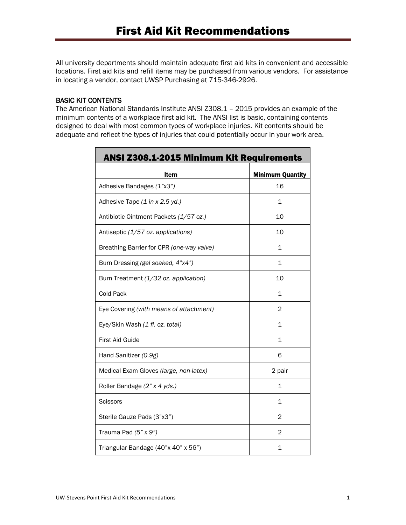All university departments should maintain adequate first aid kits in convenient and accessible locations. First aid kits and refill items may be purchased from various vendors. For assistance in locating a vendor, contact UWSP Purchasing at 715-346-2926.

#### BASIC KIT CONTENTS

The American National Standards Institute ANSI Z308.1 – 2015 provides an example of the minimum contents of a workplace first aid kit. The ANSI list is basic, containing contents designed to deal with most common types of workplace injuries. Kit contents should be adequate and reflect the types of injuries that could potentially occur in your work area.

| <b>ANSI Z308.1-2015 Minimum Kit Requirements</b> |                         |
|--------------------------------------------------|-------------------------|
| Item                                             | <b>Minimum Quantity</b> |
| Adhesive Bandages (1"x3")                        | 16                      |
| Adhesive Tape (1 in x 2.5 yd.)                   | 1                       |
| Antibiotic Ointment Packets (1/57 oz.)           | 10                      |
| Antiseptic (1/57 oz. applications)               | 10                      |
| Breathing Barrier for CPR (one-way valve)        | 1                       |
| Burn Dressing (gel soaked, 4"x4")                | 1                       |
| Burn Treatment (1/32 oz. application)            | 10                      |
| Cold Pack                                        | 1                       |
| Eye Covering (with means of attachment)          | 2                       |
| Eye/Skin Wash (1 fl. oz. total)                  | 1                       |
| First Aid Guide                                  | 1                       |
| Hand Sanitizer (0.9g)                            | 6                       |
| Medical Exam Gloves (large, non-latex)           | 2 pair                  |
| Roller Bandage (2" x 4 yds.)                     | $\mathbf{1}$            |
| <b>Scissors</b>                                  | 1                       |
| Sterile Gauze Pads (3"x3")                       | 2                       |
| Trauma Pad (5" x 9")                             | 2                       |
| Triangular Bandage (40"x 40" x 56")              | 1                       |